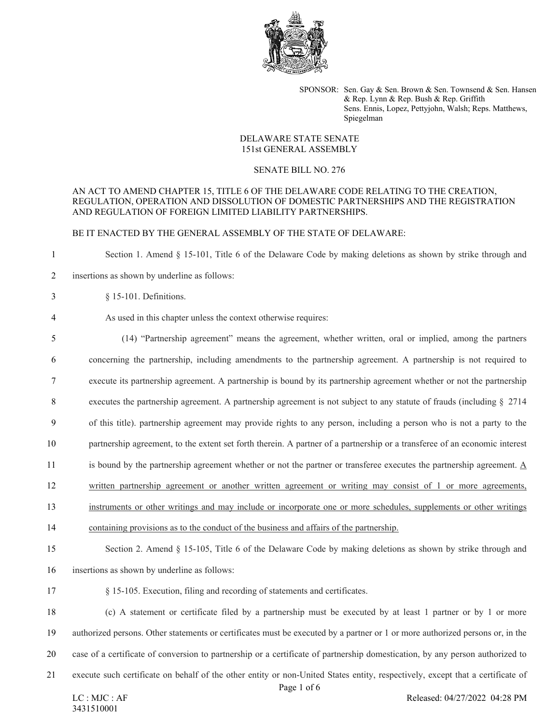

SPONSOR: Sen. Gay & Sen. Brown & Sen. Townsend & Sen. Hansen & Rep. Lynn & Rep. Bush & Rep. Griffith Sens. Ennis, Lopez, Pettyjohn, Walsh; Reps. Matthews, Spiegelman

# DELAWARE STATE SENATE 151st GENERAL ASSEMBLY

### SENATE BILL NO. 276

# AN ACT TO AMEND CHAPTER 15, TITLE 6 OF THE DELAWARE CODE RELATING TO THE CREATION, REGULATION, OPERATION AND DISSOLUTION OF DOMESTIC PARTNERSHIPS AND THE REGISTRATION AND REGULATION OF FOREIGN LIMITED LIABILITY PARTNERSHIPS.

## BE IT ENACTED BY THE GENERAL ASSEMBLY OF THE STATE OF DELAWARE:

Section 1. Amend § 15-101, Title 6 of the Delaware Code by making deletions as shown by strike through and

- insertions as shown by underline as follows:
- § 15-101. Definitions.

# As used in this chapter unless the context otherwise requires:

- (14) "Partnership agreement" means the agreement, whether written, oral or implied, among the partners concerning the partnership, including amendments to the partnership agreement. A partnership is not required to execute its partnership agreement. A partnership is bound by its partnership agreement whether or not the partnership executes the partnership agreement. A partnership agreement is not subject to any statute of frauds (including § 2714 of this title). partnership agreement may provide rights to any person, including a person who is not a party to the partnership agreement, to the extent set forth therein. A partner of a partnership or a transferee of an economic interest is bound by the partnership agreement whether or not the partner or transferee executes the partnership agreement. A written partnership agreement or another written agreement or writing may consist of 1 or more agreements, instruments or other writings and may include or incorporate one or more schedules, supplements or other writings containing provisions as to the conduct of the business and affairs of the partnership. Section 2. Amend § 15-105, Title 6 of the Delaware Code by making deletions as shown by strike through and insertions as shown by underline as follows:
- § 15-105. Execution, filing and recording of statements and certificates.

 (c) A statement or certificate filed by a partnership must be executed by at least 1 partner or by 1 or more authorized persons. Other statements or certificates must be executed by a partner or 1 or more authorized persons or, in the case of a certificate of conversion to partnership or a certificate of partnership domestication, by any person authorized to execute such certificate on behalf of the other entity or non-United States entity, respectively, except that a certificate of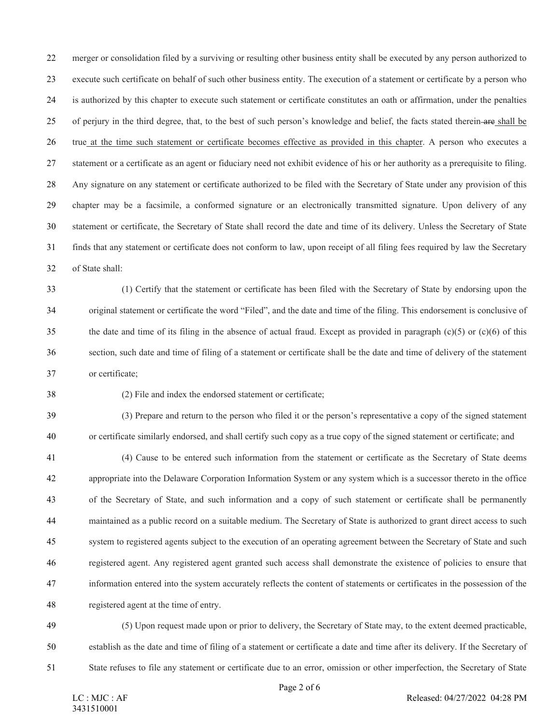merger or consolidation filed by a surviving or resulting other business entity shall be executed by any person authorized to execute such certificate on behalf of such other business entity. The execution of a statement or certificate by a person who is authorized by this chapter to execute such statement or certificate constitutes an oath or affirmation, under the penalties of perjury in the third degree, that, to the best of such person's knowledge and belief, the facts stated therein are shall be true at the time such statement or certificate becomes effective as provided in this chapter. A person who executes a statement or a certificate as an agent or fiduciary need not exhibit evidence of his or her authority as a prerequisite to filing. Any signature on any statement or certificate authorized to be filed with the Secretary of State under any provision of this chapter may be a facsimile, a conformed signature or an electronically transmitted signature. Upon delivery of any statement or certificate, the Secretary of State shall record the date and time of its delivery. Unless the Secretary of State finds that any statement or certificate does not conform to law, upon receipt of all filing fees required by law the Secretary of State shall:

 (1) Certify that the statement or certificate has been filed with the Secretary of State by endorsing upon the original statement or certificate the word "Filed", and the date and time of the filing. This endorsement is conclusive of 35 the date and time of its filing in the absence of actual fraud. Except as provided in paragraph  $(c)(5)$  or  $(c)(6)$  of this section, such date and time of filing of a statement or certificate shall be the date and time of delivery of the statement or certificate;

(2) File and index the endorsed statement or certificate;

 (3) Prepare and return to the person who filed it or the person's representative a copy of the signed statement or certificate similarly endorsed, and shall certify such copy as a true copy of the signed statement or certificate; and

 (4) Cause to be entered such information from the statement or certificate as the Secretary of State deems appropriate into the Delaware Corporation Information System or any system which is a successor thereto in the office of the Secretary of State, and such information and a copy of such statement or certificate shall be permanently maintained as a public record on a suitable medium. The Secretary of State is authorized to grant direct access to such system to registered agents subject to the execution of an operating agreement between the Secretary of State and such registered agent. Any registered agent granted such access shall demonstrate the existence of policies to ensure that information entered into the system accurately reflects the content of statements or certificates in the possession of the registered agent at the time of entry.

 (5) Upon request made upon or prior to delivery, the Secretary of State may, to the extent deemed practicable, establish as the date and time of filing of a statement or certificate a date and time after its delivery. If the Secretary of State refuses to file any statement or certificate due to an error, omission or other imperfection, the Secretary of State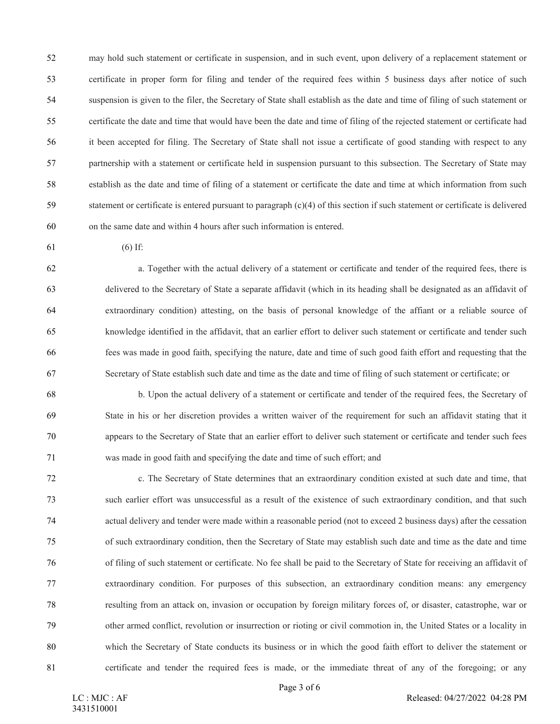may hold such statement or certificate in suspension, and in such event, upon delivery of a replacement statement or certificate in proper form for filing and tender of the required fees within 5 business days after notice of such suspension is given to the filer, the Secretary of State shall establish as the date and time of filing of such statement or certificate the date and time that would have been the date and time of filing of the rejected statement or certificate had it been accepted for filing. The Secretary of State shall not issue a certificate of good standing with respect to any partnership with a statement or certificate held in suspension pursuant to this subsection. The Secretary of State may establish as the date and time of filing of a statement or certificate the date and time at which information from such statement or certificate is entered pursuant to paragraph (c)(4) of this section if such statement or certificate is delivered on the same date and within 4 hours after such information is entered.

(6) If:

 a. Together with the actual delivery of a statement or certificate and tender of the required fees, there is delivered to the Secretary of State a separate affidavit (which in its heading shall be designated as an affidavit of extraordinary condition) attesting, on the basis of personal knowledge of the affiant or a reliable source of knowledge identified in the affidavit, that an earlier effort to deliver such statement or certificate and tender such fees was made in good faith, specifying the nature, date and time of such good faith effort and requesting that the Secretary of State establish such date and time as the date and time of filing of such statement or certificate; or

 b. Upon the actual delivery of a statement or certificate and tender of the required fees, the Secretary of State in his or her discretion provides a written waiver of the requirement for such an affidavit stating that it appears to the Secretary of State that an earlier effort to deliver such statement or certificate and tender such fees was made in good faith and specifying the date and time of such effort; and

 c. The Secretary of State determines that an extraordinary condition existed at such date and time, that such earlier effort was unsuccessful as a result of the existence of such extraordinary condition, and that such actual delivery and tender were made within a reasonable period (not to exceed 2 business days) after the cessation of such extraordinary condition, then the Secretary of State may establish such date and time as the date and time of filing of such statement or certificate. No fee shall be paid to the Secretary of State for receiving an affidavit of extraordinary condition. For purposes of this subsection, an extraordinary condition means: any emergency resulting from an attack on, invasion or occupation by foreign military forces of, or disaster, catastrophe, war or other armed conflict, revolution or insurrection or rioting or civil commotion in, the United States or a locality in which the Secretary of State conducts its business or in which the good faith effort to deliver the statement or certificate and tender the required fees is made, or the immediate threat of any of the foregoing; or any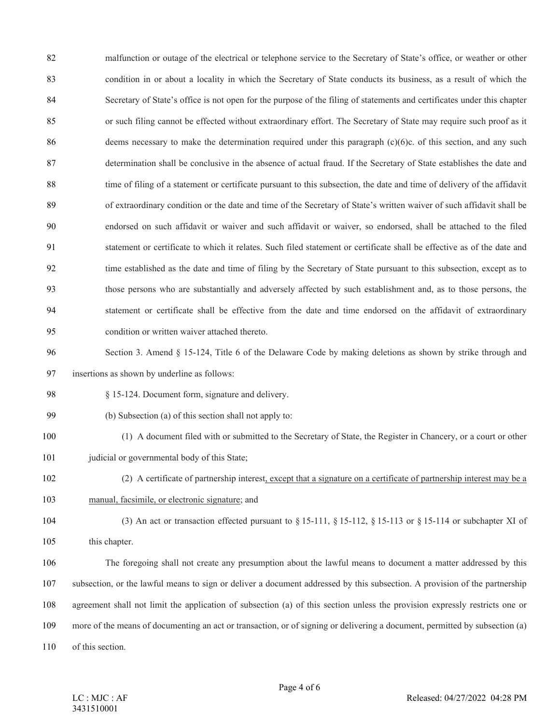82 malfunction or outage of the electrical or telephone service to the Secretary of State's office, or weather or other condition in or about a locality in which the Secretary of State conducts its business, as a result of which the Secretary of State's office is not open for the purpose of the filing of statements and certificates under this chapter or such filing cannot be effected without extraordinary effort. The Secretary of State may require such proof as it 86 deems necessary to make the determination required under this paragraph (c)(6)c. of this section, and any such determination shall be conclusive in the absence of actual fraud. If the Secretary of State establishes the date and time of filing of a statement or certificate pursuant to this subsection, the date and time of delivery of the affidavit of extraordinary condition or the date and time of the Secretary of State's written waiver of such affidavit shall be endorsed on such affidavit or waiver and such affidavit or waiver, so endorsed, shall be attached to the filed statement or certificate to which it relates. Such filed statement or certificate shall be effective as of the date and time established as the date and time of filing by the Secretary of State pursuant to this subsection, except as to those persons who are substantially and adversely affected by such establishment and, as to those persons, the statement or certificate shall be effective from the date and time endorsed on the affidavit of extraordinary condition or written waiver attached thereto.

 Section 3. Amend § 15-124, Title 6 of the Delaware Code by making deletions as shown by strike through and insertions as shown by underline as follows:

- § 15-124. Document form, signature and delivery.
- (b) Subsection (a) of this section shall not apply to:
- (1) A document filed with or submitted to the Secretary of State, the Register in Chancery, or a court or other 101 judicial or governmental body of this State;
- (2) A certificate of partnership interest, except that a signature on a certificate of partnership interest may be a manual, facsimile, or electronic signature; and
- (3) An act or transaction effected pursuant to § 15-111, § 15-112, § 15-113 or § 15-114 or subchapter XI of 105 this chapter.

 The foregoing shall not create any presumption about the lawful means to document a matter addressed by this subsection, or the lawful means to sign or deliver a document addressed by this subsection. A provision of the partnership agreement shall not limit the application of subsection (a) of this section unless the provision expressly restricts one or more of the means of documenting an act or transaction, or of signing or delivering a document, permitted by subsection (a) of this section.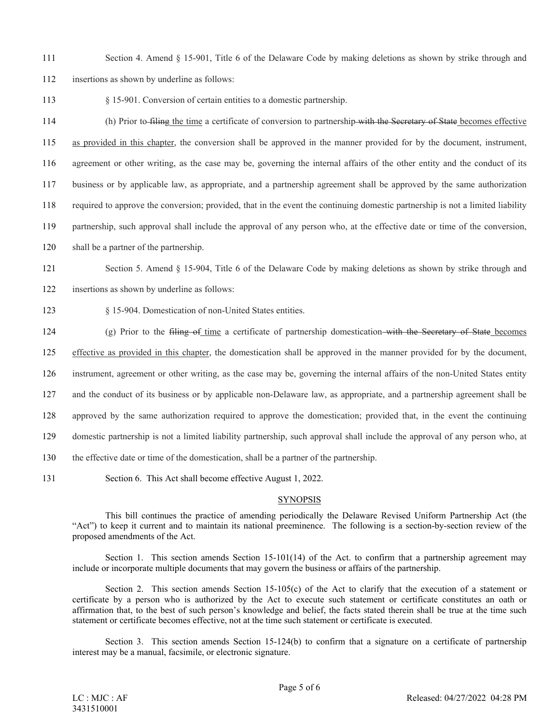- 111 Section 4. Amend § 15-901, Title 6 of the Delaware Code by making deletions as shown by strike through and
- 112 insertions as shown by underline as follows:

113 § 15-901. Conversion of certain entities to a domestic partnership.

 (h) Prior to filing the time a certificate of conversion to partnership with the Secretary of State becomes effective as provided in this chapter, the conversion shall be approved in the manner provided for by the document, instrument, agreement or other writing, as the case may be, governing the internal affairs of the other entity and the conduct of its business or by applicable law, as appropriate, and a partnership agreement shall be approved by the same authorization required to approve the conversion; provided, that in the event the continuing domestic partnership is not a limited liability partnership, such approval shall include the approval of any person who, at the effective date or time of the conversion,

120 shall be a partner of the partnership.

121 Section 5. Amend § 15-904, Title 6 of the Delaware Code by making deletions as shown by strike through and

122 insertions as shown by underline as follows:

123 § 15-904. Domestication of non-United States entities.

124 (g) Prior to the filing of time a certificate of partnership domestication with the Secretary of State becomes

125 effective as provided in this chapter, the domestication shall be approved in the manner provided for by the document,

126 instrument, agreement or other writing, as the case may be, governing the internal affairs of the non-United States entity

127 and the conduct of its business or by applicable non-Delaware law, as appropriate, and a partnership agreement shall be

128 approved by the same authorization required to approve the domestication; provided that, in the event the continuing

129 domestic partnership is not a limited liability partnership, such approval shall include the approval of any person who, at

- 130 the effective date or time of the domestication, shall be a partner of the partnership.
- 131 Section 6. This Act shall become effective August 1, 2022.

### **SYNOPSIS**

This bill continues the practice of amending periodically the Delaware Revised Uniform Partnership Act (the "Act") to keep it current and to maintain its national preeminence. The following is a section-by-section review of the proposed amendments of the Act.

Section 1. This section amends Section 15-101(14) of the Act. to confirm that a partnership agreement may include or incorporate multiple documents that may govern the business or affairs of the partnership.

Section 2. This section amends Section 15-105(c) of the Act to clarify that the execution of a statement or certificate by a person who is authorized by the Act to execute such statement or certificate constitutes an oath or affirmation that, to the best of such person's knowledge and belief, the facts stated therein shall be true at the time such statement or certificate becomes effective, not at the time such statement or certificate is executed.

Section 3. This section amends Section 15-124(b) to confirm that a signature on a certificate of partnership interest may be a manual, facsimile, or electronic signature.